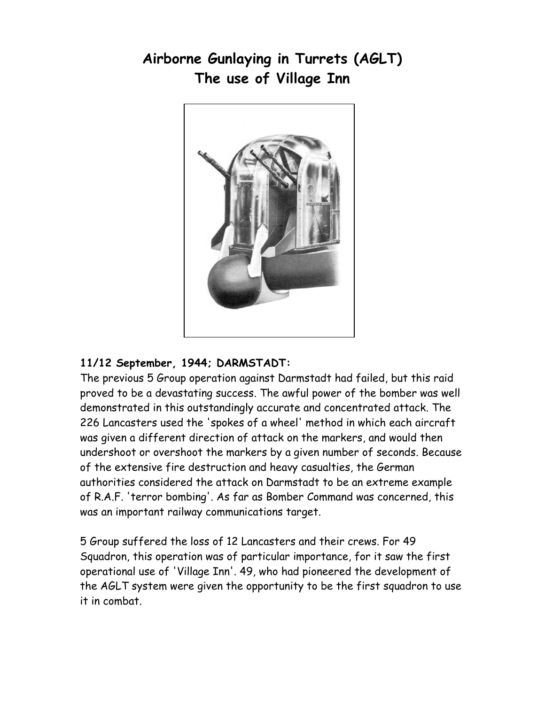## Airborne Gunlaying in Turrets (AGLT) The use of Village Inn



## 11/12 September, 1944; DARMSTADT:

The previous 5 Group operation against Darmstadt had failed, but this raid proved to be a devastating success. The awful power of the bomber was well demonstrated in this outstandingly accurate and concentrated attack. The 226 Lancasters used the 'spokes of a wheel' method in which each aircraft was given a different direction of attack on the markers, and would then undershoot or overshoot the markers by a given number of seconds. Because of the extensive fire destruction and heavy casualties, the German authorities considered the attack on Darmstadt to be an extreme example of R.A.F. 'terror bombing'. As far as Bomber Command was concerned, this was an important railway communications target.

5 Group suffered the loss of 12 Lancasters and their crews. For 49 Squadron, this operation was of particular importance, for it saw the first operational use of 'Village Inn'. 49, who had pioneered the development of the AGLT system were given the opportunity to be the first squadron to use it in combat.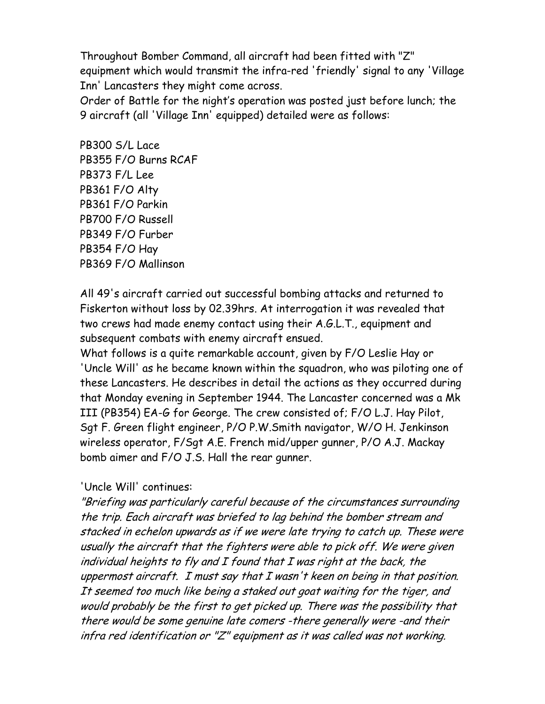Throughout Bomber Command, all aircraft had been fitted with "Z" equipment which would transmit the infra-red 'friendly' signal to any 'Village Inn' Lancasters they might come across.

Order of Battle for the night's operation was posted just before lunch; the 9 aircraft (all 'Village Inn' equipped) detailed were as follows:

PB300 S/L Lace PB355 F/O Burns RCAF PB373 F/L Lee PB361 F/O Alty PB361 F/O Parkin PB700 F/O Russell PB349 F/O Furber PB354 F/O Hay PB369 F/O Mallinson

All 49's aircraft carried out successful bombing attacks and returned to Fiskerton without loss by 02.39hrs. At interrogation it was revealed that two crews had made enemy contact using their A.G.L.T., equipment and subsequent combats with enemy aircraft ensued.

What follows is a quite remarkable account, given by F/O Leslie Hay or 'Uncle Will' as he became known within the squadron, who was piloting one of these Lancasters. He describes in detail the actions as they occurred during that Monday evening in September 1944. The Lancaster concerned was a Mk III (PB354) EA-G for George. The crew consisted of; F/O L.J. Hay Pilot, Sgt F. Green flight engineer, P/O P.W.Smith navigator, W/O H. Jenkinson wireless operator, F/Sgt A.E. French mid/upper gunner, P/O A.J. Mackay bomb aimer and F/O J.S. Hall the rear gunner.

## 'Uncle Will' continues:

"Briefing was particularly careful because of the circumstances surrounding the trip. Each aircraft was briefed to lag behind the bomber stream and stacked in echelon upwards as if we were late trying to catch up. These were usually the aircraft that the fighters were able to pick off. We were given individual heights to fly and I found that I was right at the back, the uppermost aircraft. I must say that I wasn't keen on being in that position. It seemed too much like being a staked out goat waiting for the tiger, and would probably be the first to get picked up. There was the possibility that there would be some genuine late comers -there generally were -and their infra red identification or "Z" equipment as it was called was not working.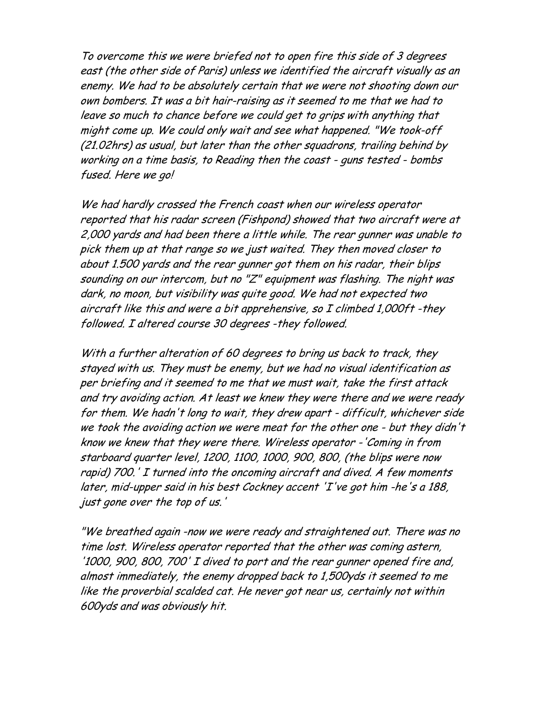To overcome this we were briefed not to open fire this side of 3 degrees east (the other side of Paris) unless we identified the aircraft visually as an enemy. We had to be absolutely certain that we were not shooting down our own bombers. It was a bit hair-raising as it seemed to me that we had to leave so much to chance before we could get to grips with anything that might come up. We could only wait and see what happened. "We took-off (21.02hrs) as usual, but later than the other squadrons, trailing behind by working on a time basis, to Reading then the coast - guns tested - bombs fused. Here we go!

We had hardly crossed the French coast when our wireless operator reported that his radar screen (Fishpond) showed that two aircraft were at 2,000 yards and had been there a little while. The rear gunner was unable to pick them up at that range so we just waited. They then moved closer to about 1.500 yards and the rear gunner got them on his radar, their blips sounding on our intercom, but no "Z" equipment was flashing. The night was dark, no moon, but visibility was quite good. We had not expected two aircraft like this and were a bit apprehensive, so I climbed 1,000ft -they followed. I altered course 30 degrees -they followed.

With a further alteration of 60 degrees to bring us back to track, they stayed with us. They must be enemy, but we had no visual identification as per briefing and it seemed to me that we must wait, take the first attack and try avoiding action. At least we knew they were there and we were ready for them. We hadn't long to wait, they drew apart - difficult, whichever side we took the avoiding action we were meat for the other one - but they didn't know we knew that they were there. Wireless operator -'Coming in from starboard quarter level, 1200, 1100, 1000, 900, 800, (the blips were now rapid) 700.' I turned into the oncoming aircraft and dived. A few moments later, mid-upper said in his best Cockney accent 'I've got him -he's a 188, just gone over the top of us.'

"We breathed again -now we were ready and straightened out. There was no time lost. Wireless operator reported that the other was coming astern, '1000, 900, 800, 700' I dived to port and the rear gunner opened fire and, almost immediately, the enemy dropped back to 1,500yds it seemed to me like the proverbial scalded cat. He never got near us, certainly not within 600yds and was obviously hit.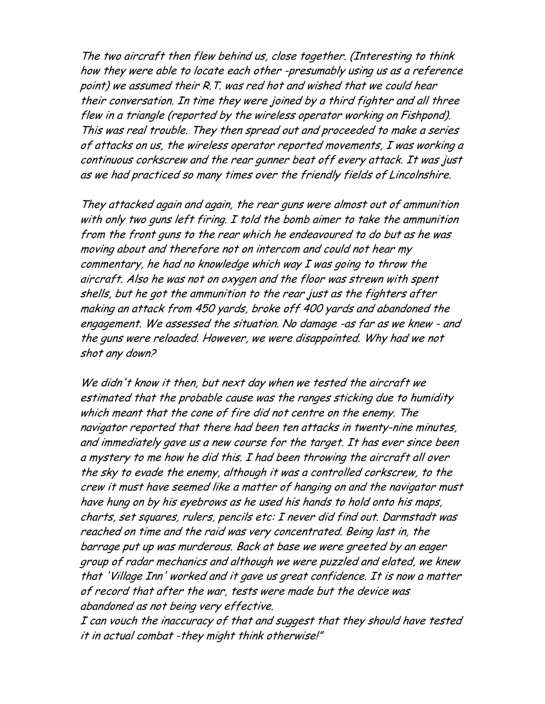The two aircraft then flew behind us, close together. (Interesting to think how they were able to locate each other -presumably using us as a reference point) we assumed their R.T. was red hot and wished that we could hear their conversation. In time they were joined by a third fighter and all three flew in a triangle (reported by the wireless operator working on Fishpond). This was real trouble. They then spread out and proceeded to make a series of attacks on us, the wireless operator reported movements, I was working a continuous corkscrew and the rear gunner beat off every attack. It was just as we had practiced so many times over the friendly fields of Lincolnshire.

They attacked again and again, the rear guns were almost out of ammunition with only two guns left firing. I told the bomb aimer to take the ammunition from the front guns to the rear which he endeavoured to do but as he was moving about and therefore not on intercom and could not hear my commentary, he had no knowledge which way I was going to throw the aircraft. Also he was not on oxygen and the floor was strewn with spent shells, but he got the ammunition to the rear just as the fighters after making an attack from 450 yards, broke off 400 yards and abandoned the engagement. We assessed the situation. No damage -as far as we knew - and the guns were reloaded. However, we were disappointed. Why had we not shot any down?

We didn't know it then, but next day when we tested the aircraft we estimated that the probable cause was the ranges sticking due to humidity which meant that the cone of fire did not centre on the enemy. The navigator reported that there had been ten attacks in twenty-nine minutes, and immediately gave us a new course for the target. It has ever since been a mystery to me how he did this. I had been throwing the aircraft all over the sky to evade the enemy, although it was a controlled corkscrew, to the crew it must have seemed like a matter of hanging on and the navigator must have hung on by his eyebrows as he used his hands to hold onto his maps, charts, set squares, rulers, pencils etc: I never did find out. Darmstadt was reached on time and the raid was very concentrated. Being last in, the barrage put up was murderous. Back at base we were greeted by an eager group of radar mechanics and although we were puzzled and elated, we knew that 'Village Inn' worked and it gave us great confidence. It is now a matter of record that after the war, tests were made but the device was abandoned as not being very effective.

I can vouch the inaccuracy of that and suggest that they should have tested it in actual combat -they might think otherwise!"